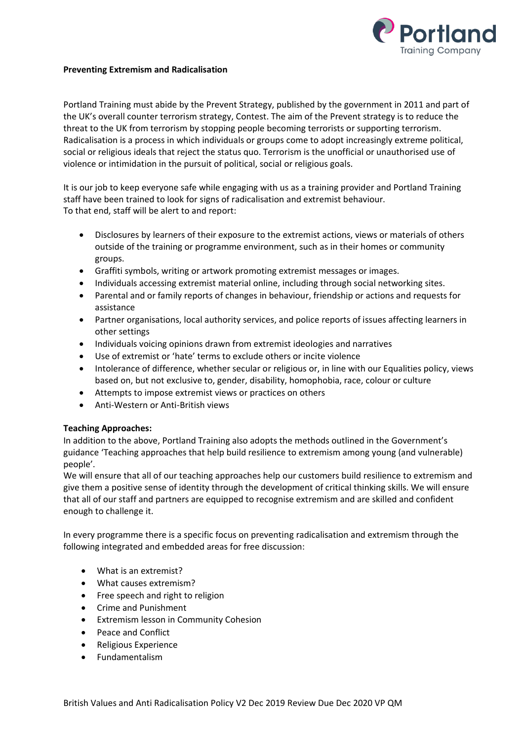

## **Preventing Extremism and Radicalisation**

Portland Training must abide by the Prevent Strategy, published by the government in 2011 and part of the UK's overall counter terrorism strategy, Contest. The aim of the Prevent strategy is to reduce the threat to the UK from terrorism by stopping people becoming terrorists or supporting terrorism. Radicalisation is a process in which individuals or groups come to adopt increasingly extreme political, social or religious ideals that reject the status quo. Terrorism is the unofficial or unauthorised use of violence or intimidation in the pursuit of political, social or religious goals.

It is our job to keep everyone safe while engaging with us as a training provider and Portland Training staff have been trained to look for signs of radicalisation and extremist behaviour. To that end, staff will be alert to and report:

- Disclosures by learners of their exposure to the extremist actions, views or materials of others outside of the training or programme environment, such as in their homes or community groups.
- Graffiti symbols, writing or artwork promoting extremist messages or images.
- Individuals accessing extremist material online, including through social networking sites.
- Parental and or family reports of changes in behaviour, friendship or actions and requests for assistance
- Partner organisations, local authority services, and police reports of issues affecting learners in other settings
- Individuals voicing opinions drawn from extremist ideologies and narratives
- Use of extremist or 'hate' terms to exclude others or incite violence
- Intolerance of difference, whether secular or religious or, in line with our Equalities policy, views based on, but not exclusive to, gender, disability, homophobia, race, colour or culture
- Attempts to impose extremist views or practices on others
- Anti-Western or Anti-British views

# **Teaching Approaches:**

In addition to the above, Portland Training also adopts the methods outlined in the Government's guidance 'Teaching approaches that help build resilience to extremism among young (and vulnerable) people'.

We will ensure that all of our teaching approaches help our customers build resilience to extremism and give them a positive sense of identity through the development of critical thinking skills. We will ensure that all of our staff and partners are equipped to recognise extremism and are skilled and confident enough to challenge it.

In every programme there is a specific focus on preventing radicalisation and extremism through the following integrated and embedded areas for free discussion:

- What is an extremist?
- What causes extremism?
- Free speech and right to religion
- Crime and Punishment
- Extremism lesson in Community Cohesion
- Peace and Conflict
- Religious Experience
- Fundamentalism